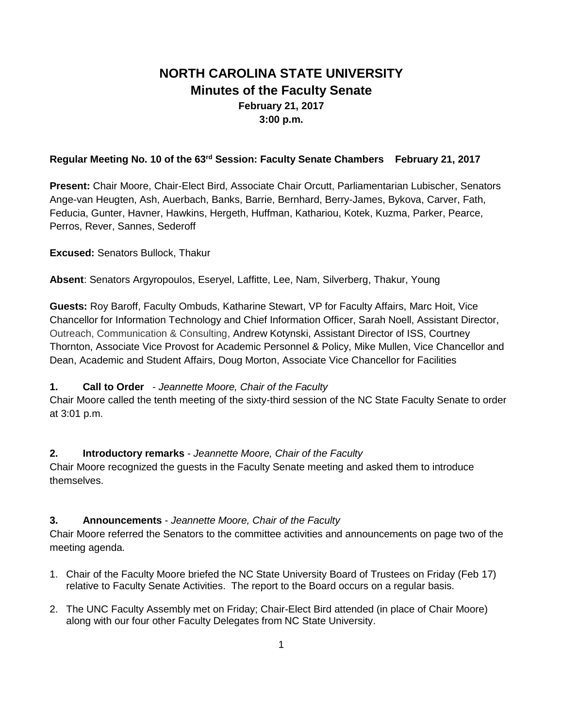# **NORTH CAROLINA STATE UNIVERSITY Minutes of the Faculty Senate February 21, 2017 3:00 p.m.**

## **Regular Meeting No. 10 of the 63rd Session: Faculty Senate Chambers February 21, 2017**

**Present:** Chair Moore, Chair-Elect Bird, Associate Chair Orcutt, Parliamentarian Lubischer, Senators Ange-van Heugten, Ash, Auerbach, Banks, Barrie, Bernhard, Berry-James, Bykova, Carver, Fath, Feducia, Gunter, Havner, Hawkins, Hergeth, Huffman, Kathariou, Kotek, Kuzma, Parker, Pearce, Perros, Rever, Sannes, Sederoff

**Excused:** Senators Bullock, Thakur

**Absent**: Senators Argyropoulos, Eseryel, Laffitte, Lee, Nam, Silverberg, Thakur, Young

**Guests:** Roy Baroff, Faculty Ombuds, Katharine Stewart, VP for Faculty Affairs, Marc Hoit, Vice Chancellor for Information Technology and Chief Information Officer, Sarah Noell, Assistant Director, Outreach, Communication & Consulting, Andrew Kotynski, Assistant Director of ISS, Courtney Thornton, Associate Vice Provost for Academic Personnel & Policy, Mike Mullen, Vice Chancellor and Dean, Academic and Student Affairs, Doug Morton, Associate Vice Chancellor for Facilities

## **1. Call to Order** - *Jeannette Moore, Chair of the Faculty*

Chair Moore called the tenth meeting of the sixty-third session of the NC State Faculty Senate to order at 3:01 p.m.

## **2. Introductory remarks** - *Jeannette Moore, Chair of the Faculty*

Chair Moore recognized the guests in the Faculty Senate meeting and asked them to introduce themselves.

## **3. Announcements** - *Jeannette Moore, Chair of the Faculty*

Chair Moore referred the Senators to the committee activities and announcements on page two of the meeting agenda.

- 1. Chair of the Faculty Moore briefed the NC State University Board of Trustees on Friday (Feb 17) relative to Faculty Senate Activities. The report to the Board occurs on a regular basis.
- 2. The UNC Faculty Assembly met on Friday; Chair-Elect Bird attended (in place of Chair Moore) along with our four other Faculty Delegates from NC State University.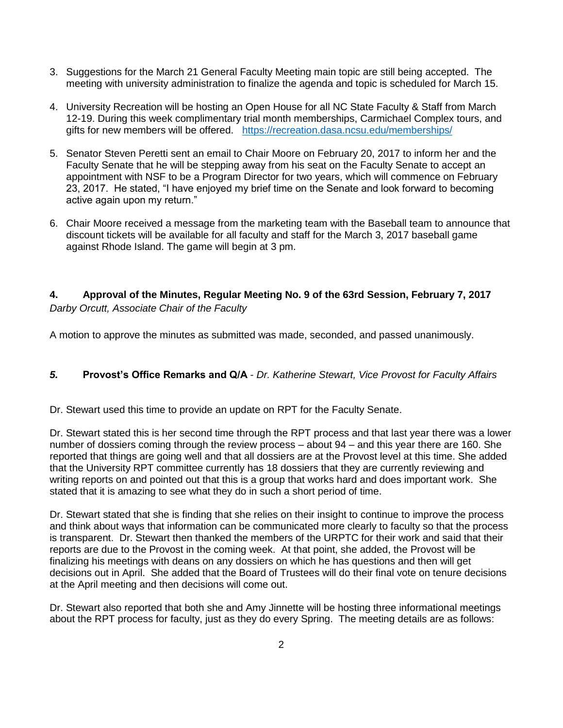- 3. Suggestions for the March 21 General Faculty Meeting main topic are still being accepted. The meeting with university administration to finalize the agenda and topic is scheduled for March 15.
- 4. University Recreation will be hosting an Open House for all NC State Faculty & Staff from March 12-19. During this week complimentary trial month memberships, Carmichael Complex tours, and gifts for new members will be offered. <https://recreation.dasa.ncsu.edu/memberships/>
- 5. Senator Steven Peretti sent an email to Chair Moore on February 20, 2017 to inform her and the Faculty Senate that he will be stepping away from his seat on the Faculty Senate to accept an appointment with NSF to be a Program Director for two years, which will commence on February 23, 2017. He stated, "I have enjoyed my brief time on the Senate and look forward to becoming active again upon my return."
- 6. Chair Moore received a message from the marketing team with the Baseball team to announce that discount tickets will be available for all faculty and staff for the March 3, 2017 baseball game against Rhode Island. The game will begin at 3 pm.

# **4. Approval of the Minutes, Regular Meeting No. 9 of the 63rd Session, February 7, 2017** *Darby Orcutt, Associate Chair of the Faculty*

A motion to approve the minutes as submitted was made, seconded, and passed unanimously.

# *5.* **Provost's Office Remarks and Q/A** - *Dr. Katherine Stewart, Vice Provost for Faculty Affairs*

Dr. Stewart used this time to provide an update on RPT for the Faculty Senate.

Dr. Stewart stated this is her second time through the RPT process and that last year there was a lower number of dossiers coming through the review process – about 94 – and this year there are 160. She reported that things are going well and that all dossiers are at the Provost level at this time. She added that the University RPT committee currently has 18 dossiers that they are currently reviewing and writing reports on and pointed out that this is a group that works hard and does important work. She stated that it is amazing to see what they do in such a short period of time.

Dr. Stewart stated that she is finding that she relies on their insight to continue to improve the process and think about ways that information can be communicated more clearly to faculty so that the process is transparent. Dr. Stewart then thanked the members of the URPTC for their work and said that their reports are due to the Provost in the coming week. At that point, she added, the Provost will be finalizing his meetings with deans on any dossiers on which he has questions and then will get decisions out in April. She added that the Board of Trustees will do their final vote on tenure decisions at the April meeting and then decisions will come out.

Dr. Stewart also reported that both she and Amy Jinnette will be hosting three informational meetings about the RPT process for faculty, just as they do every Spring. The meeting details are as follows: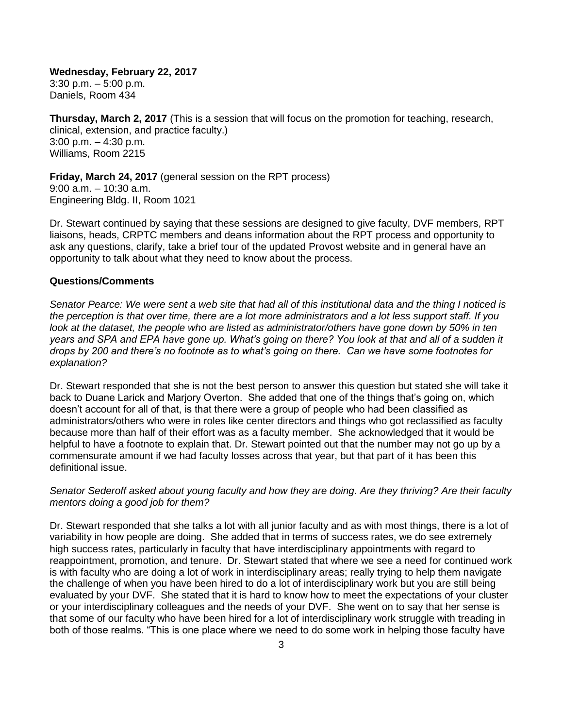**Wednesday, February 22, 2017** 3:30 p.m. – 5:00 p.m. Daniels, Room 434

**Thursday, March 2, 2017** (This is a session that will focus on the promotion for teaching, research, clinical, extension, and practice faculty.) 3:00 p.m. – 4:30 p.m. Williams, Room 2215

**Friday, March 24, 2017** (general session on the RPT process) 9:00 a.m. – 10:30 a.m. Engineering Bldg. II, Room 1021

Dr. Stewart continued by saying that these sessions are designed to give faculty, DVF members, RPT liaisons, heads, CRPTC members and deans information about the RPT process and opportunity to ask any questions, clarify, take a brief tour of the updated Provost website and in general have an opportunity to talk about what they need to know about the process.

#### **Questions/Comments**

*Senator Pearce: We were sent a web site that had all of this institutional data and the thing I noticed is the perception is that over time, there are a lot more administrators and a lot less support staff. If you*  look at the dataset, the people who are listed as administrator/others have gone down by 50% in ten *years and SPA and EPA have gone up. What's going on there? You look at that and all of a sudden it drops by 200 and there's no footnote as to what's going on there. Can we have some footnotes for explanation?*

Dr. Stewart responded that she is not the best person to answer this question but stated she will take it back to Duane Larick and Marjory Overton. She added that one of the things that's going on, which doesn't account for all of that, is that there were a group of people who had been classified as administrators/others who were in roles like center directors and things who got reclassified as faculty because more than half of their effort was as a faculty member. She acknowledged that it would be helpful to have a footnote to explain that. Dr. Stewart pointed out that the number may not go up by a commensurate amount if we had faculty losses across that year, but that part of it has been this definitional issue.

#### *Senator Sederoff asked about young faculty and how they are doing. Are they thriving? Are their faculty mentors doing a good job for them?*

Dr. Stewart responded that she talks a lot with all junior faculty and as with most things, there is a lot of variability in how people are doing. She added that in terms of success rates, we do see extremely high success rates, particularly in faculty that have interdisciplinary appointments with regard to reappointment, promotion, and tenure. Dr. Stewart stated that where we see a need for continued work is with faculty who are doing a lot of work in interdisciplinary areas; really trying to help them navigate the challenge of when you have been hired to do a lot of interdisciplinary work but you are still being evaluated by your DVF. She stated that it is hard to know how to meet the expectations of your cluster or your interdisciplinary colleagues and the needs of your DVF. She went on to say that her sense is that some of our faculty who have been hired for a lot of interdisciplinary work struggle with treading in both of those realms. "This is one place where we need to do some work in helping those faculty have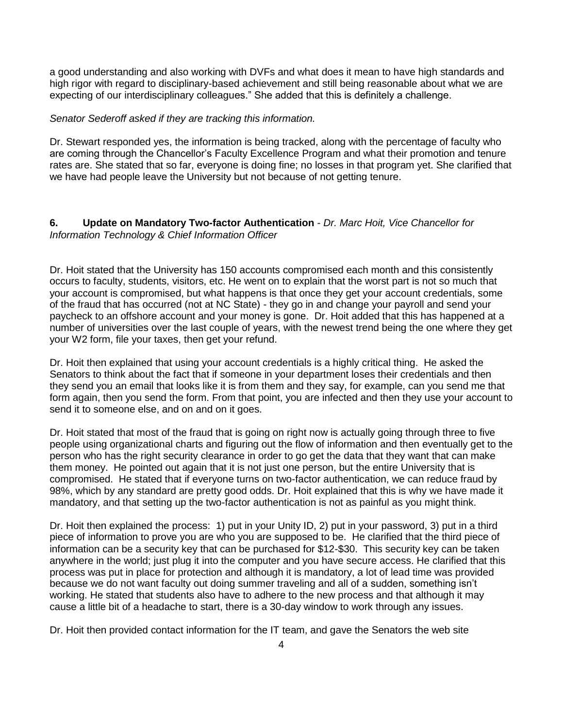a good understanding and also working with DVFs and what does it mean to have high standards and high rigor with regard to disciplinary-based achievement and still being reasonable about what we are expecting of our interdisciplinary colleagues." She added that this is definitely a challenge.

#### *Senator Sederoff asked if they are tracking this information.*

Dr. Stewart responded yes, the information is being tracked, along with the percentage of faculty who are coming through the Chancellor's Faculty Excellence Program and what their promotion and tenure rates are. She stated that so far, everyone is doing fine; no losses in that program yet. She clarified that we have had people leave the University but not because of not getting tenure.

## **6. Update on Mandatory Two-factor Authentication** - *Dr. Marc Hoit, Vice Chancellor for Information Technology & Chief Information Officer*

Dr. Hoit stated that the University has 150 accounts compromised each month and this consistently occurs to faculty, students, visitors, etc. He went on to explain that the worst part is not so much that your account is compromised, but what happens is that once they get your account credentials, some of the fraud that has occurred (not at NC State) - they go in and change your payroll and send your paycheck to an offshore account and your money is gone. Dr. Hoit added that this has happened at a number of universities over the last couple of years, with the newest trend being the one where they get your W2 form, file your taxes, then get your refund.

Dr. Hoit then explained that using your account credentials is a highly critical thing. He asked the Senators to think about the fact that if someone in your department loses their credentials and then they send you an email that looks like it is from them and they say, for example, can you send me that form again, then you send the form. From that point, you are infected and then they use your account to send it to someone else, and on and on it goes.

Dr. Hoit stated that most of the fraud that is going on right now is actually going through three to five people using organizational charts and figuring out the flow of information and then eventually get to the person who has the right security clearance in order to go get the data that they want that can make them money. He pointed out again that it is not just one person, but the entire University that is compromised. He stated that if everyone turns on two-factor authentication, we can reduce fraud by 98%, which by any standard are pretty good odds. Dr. Hoit explained that this is why we have made it mandatory, and that setting up the two-factor authentication is not as painful as you might think.

Dr. Hoit then explained the process: 1) put in your Unity ID, 2) put in your password, 3) put in a third piece of information to prove you are who you are supposed to be. He clarified that the third piece of information can be a security key that can be purchased for \$12-\$30. This security key can be taken anywhere in the world; just plug it into the computer and you have secure access. He clarified that this process was put in place for protection and although it is mandatory, a lot of lead time was provided because we do not want faculty out doing summer traveling and all of a sudden, something isn't working. He stated that students also have to adhere to the new process and that although it may cause a little bit of a headache to start, there is a 30-day window to work through any issues.

Dr. Hoit then provided contact information for the IT team, and gave the Senators the web site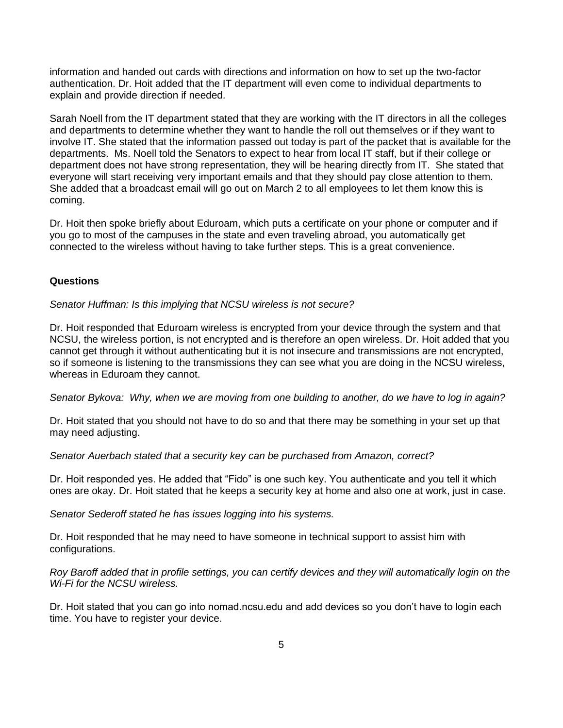information and handed out cards with directions and information on how to set up the two-factor authentication. Dr. Hoit added that the IT department will even come to individual departments to explain and provide direction if needed.

Sarah Noell from the IT department stated that they are working with the IT directors in all the colleges and departments to determine whether they want to handle the roll out themselves or if they want to involve IT. She stated that the information passed out today is part of the packet that is available for the departments. Ms. Noell told the Senators to expect to hear from local IT staff, but if their college or department does not have strong representation, they will be hearing directly from IT. She stated that everyone will start receiving very important emails and that they should pay close attention to them. She added that a broadcast email will go out on March 2 to all employees to let them know this is coming.

Dr. Hoit then spoke briefly about Eduroam, which puts a certificate on your phone or computer and if you go to most of the campuses in the state and even traveling abroad, you automatically get connected to the wireless without having to take further steps. This is a great convenience.

#### **Questions**

*Senator Huffman: Is this implying that NCSU wireless is not secure?*

Dr. Hoit responded that Eduroam wireless is encrypted from your device through the system and that NCSU, the wireless portion, is not encrypted and is therefore an open wireless. Dr. Hoit added that you cannot get through it without authenticating but it is not insecure and transmissions are not encrypted, so if someone is listening to the transmissions they can see what you are doing in the NCSU wireless, whereas in Eduroam they cannot.

*Senator Bykova: Why, when we are moving from one building to another, do we have to log in again?*

Dr. Hoit stated that you should not have to do so and that there may be something in your set up that may need adjusting.

*Senator Auerbach stated that a security key can be purchased from Amazon, correct?* 

Dr. Hoit responded yes. He added that "Fido" is one such key. You authenticate and you tell it which ones are okay. Dr. Hoit stated that he keeps a security key at home and also one at work, just in case.

*Senator Sederoff stated he has issues logging into his systems.*

Dr. Hoit responded that he may need to have someone in technical support to assist him with configurations.

*Roy Baroff added that in profile settings, you can certify devices and they will automatically login on the Wi-Fi for the NCSU wireless.*

Dr. Hoit stated that you can go into nomad.ncsu.edu and add devices so you don't have to login each time. You have to register your device.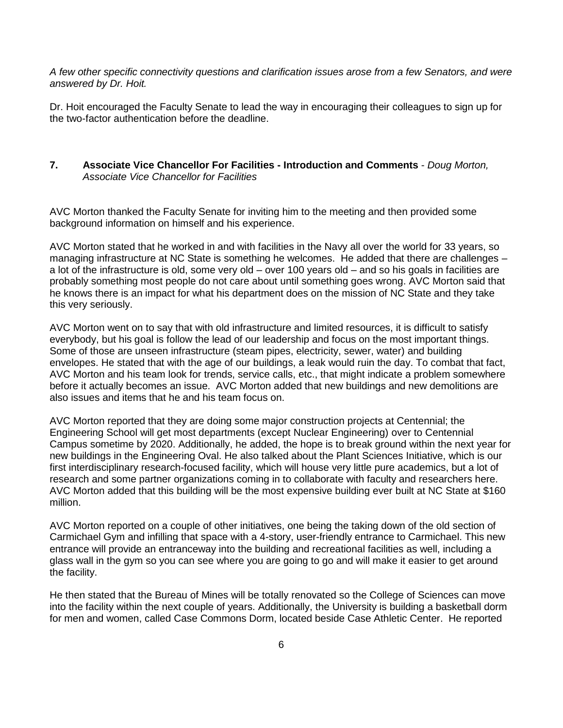*A few other specific connectivity questions and clarification issues arose from a few Senators, and were answered by Dr. Hoit.*

Dr. Hoit encouraged the Faculty Senate to lead the way in encouraging their colleagues to sign up for the two-factor authentication before the deadline.

## **7. Associate Vice Chancellor For Facilities - Introduction and Comments** - *Doug Morton, Associate Vice Chancellor for Facilities*

AVC Morton thanked the Faculty Senate for inviting him to the meeting and then provided some background information on himself and his experience.

AVC Morton stated that he worked in and with facilities in the Navy all over the world for 33 years, so managing infrastructure at NC State is something he welcomes. He added that there are challenges – a lot of the infrastructure is old, some very old – over 100 years old – and so his goals in facilities are probably something most people do not care about until something goes wrong. AVC Morton said that he knows there is an impact for what his department does on the mission of NC State and they take this very seriously.

AVC Morton went on to say that with old infrastructure and limited resources, it is difficult to satisfy everybody, but his goal is follow the lead of our leadership and focus on the most important things. Some of those are unseen infrastructure (steam pipes, electricity, sewer, water) and building envelopes. He stated that with the age of our buildings, a leak would ruin the day. To combat that fact, AVC Morton and his team look for trends, service calls, etc., that might indicate a problem somewhere before it actually becomes an issue. AVC Morton added that new buildings and new demolitions are also issues and items that he and his team focus on.

AVC Morton reported that they are doing some major construction projects at Centennial; the Engineering School will get most departments (except Nuclear Engineering) over to Centennial Campus sometime by 2020. Additionally, he added, the hope is to break ground within the next year for new buildings in the Engineering Oval. He also talked about the Plant Sciences Initiative, which is our first interdisciplinary research-focused facility, which will house very little pure academics, but a lot of research and some partner organizations coming in to collaborate with faculty and researchers here. AVC Morton added that this building will be the most expensive building ever built at NC State at \$160 million.

AVC Morton reported on a couple of other initiatives, one being the taking down of the old section of Carmichael Gym and infilling that space with a 4-story, user-friendly entrance to Carmichael. This new entrance will provide an entranceway into the building and recreational facilities as well, including a glass wall in the gym so you can see where you are going to go and will make it easier to get around the facility.

He then stated that the Bureau of Mines will be totally renovated so the College of Sciences can move into the facility within the next couple of years. Additionally, the University is building a basketball dorm for men and women, called Case Commons Dorm, located beside Case Athletic Center. He reported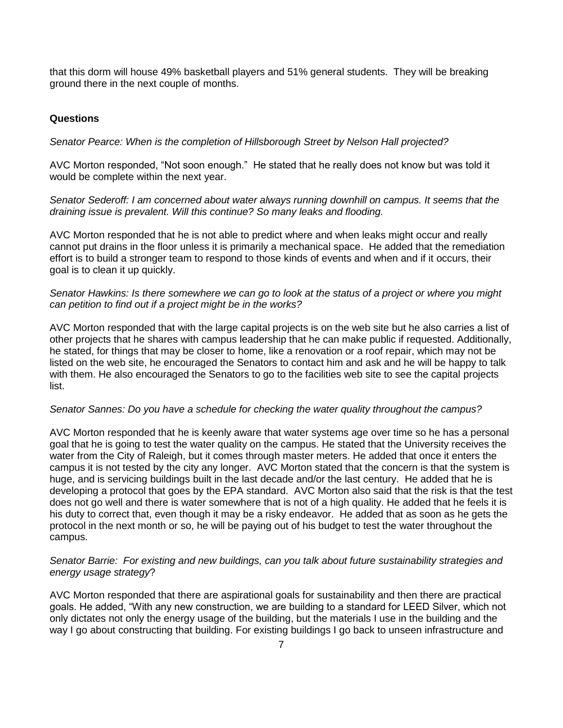that this dorm will house 49% basketball players and 51% general students. They will be breaking ground there in the next couple of months.

#### **Questions**

*Senator Pearce: When is the completion of Hillsborough Street by Nelson Hall projected?*

AVC Morton responded, "Not soon enough." He stated that he really does not know but was told it would be complete within the next year.

*Senator Sederoff: I am concerned about water always running downhill on campus. It seems that the draining issue is prevalent. Will this continue? So many leaks and flooding.*

AVC Morton responded that he is not able to predict where and when leaks might occur and really cannot put drains in the floor unless it is primarily a mechanical space. He added that the remediation effort is to build a stronger team to respond to those kinds of events and when and if it occurs, their goal is to clean it up quickly.

#### *Senator Hawkins: Is there somewhere we can go to look at the status of a project or where you might can petition to find out if a project might be in the works?*

AVC Morton responded that with the large capital projects is on the web site but he also carries a list of other projects that he shares with campus leadership that he can make public if requested. Additionally, he stated, for things that may be closer to home, like a renovation or a roof repair, which may not be listed on the web site, he encouraged the Senators to contact him and ask and he will be happy to talk with them. He also encouraged the Senators to go to the facilities web site to see the capital projects list.

#### *Senator Sannes: Do you have a schedule for checking the water quality throughout the campus?*

AVC Morton responded that he is keenly aware that water systems age over time so he has a personal goal that he is going to test the water quality on the campus. He stated that the University receives the water from the City of Raleigh, but it comes through master meters. He added that once it enters the campus it is not tested by the city any longer. AVC Morton stated that the concern is that the system is huge, and is servicing buildings built in the last decade and/or the last century. He added that he is developing a protocol that goes by the EPA standard. AVC Morton also said that the risk is that the test does not go well and there is water somewhere that is not of a high quality. He added that he feels it is his duty to correct that, even though it may be a risky endeavor. He added that as soon as he gets the protocol in the next month or so, he will be paying out of his budget to test the water throughout the campus.

#### *Senator Barrie: For existing and new buildings, can you talk about future sustainability strategies and energy usage strategy*?

AVC Morton responded that there are aspirational goals for sustainability and then there are practical goals. He added, "With any new construction, we are building to a standard for LEED Silver, which not only dictates not only the energy usage of the building, but the materials I use in the building and the way I go about constructing that building. For existing buildings I go back to unseen infrastructure and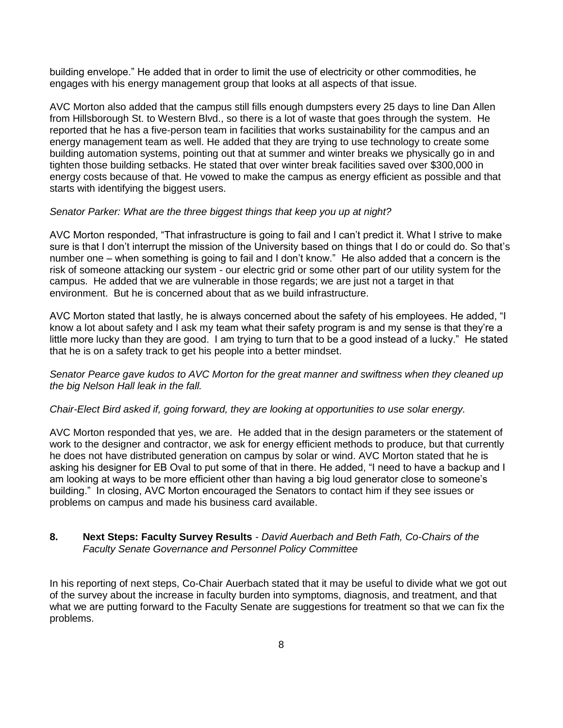building envelope." He added that in order to limit the use of electricity or other commodities, he engages with his energy management group that looks at all aspects of that issue.

AVC Morton also added that the campus still fills enough dumpsters every 25 days to line Dan Allen from Hillsborough St. to Western Blvd., so there is a lot of waste that goes through the system. He reported that he has a five-person team in facilities that works sustainability for the campus and an energy management team as well. He added that they are trying to use technology to create some building automation systems, pointing out that at summer and winter breaks we physically go in and tighten those building setbacks. He stated that over winter break facilities saved over \$300,000 in energy costs because of that. He vowed to make the campus as energy efficient as possible and that starts with identifying the biggest users.

#### *Senator Parker: What are the three biggest things that keep you up at night?*

AVC Morton responded, "That infrastructure is going to fail and I can't predict it. What I strive to make sure is that I don't interrupt the mission of the University based on things that I do or could do. So that's number one – when something is going to fail and I don't know." He also added that a concern is the risk of someone attacking our system - our electric grid or some other part of our utility system for the campus. He added that we are vulnerable in those regards; we are just not a target in that environment. But he is concerned about that as we build infrastructure.

AVC Morton stated that lastly, he is always concerned about the safety of his employees. He added, "I know a lot about safety and I ask my team what their safety program is and my sense is that they're a little more lucky than they are good. I am trying to turn that to be a good instead of a lucky." He stated that he is on a safety track to get his people into a better mindset.

*Senator Pearce gave kudos to AVC Morton for the great manner and swiftness when they cleaned up the big Nelson Hall leak in the fall.* 

#### *Chair-Elect Bird asked if, going forward, they are looking at opportunities to use solar energy.*

AVC Morton responded that yes, we are. He added that in the design parameters or the statement of work to the designer and contractor, we ask for energy efficient methods to produce, but that currently he does not have distributed generation on campus by solar or wind. AVC Morton stated that he is asking his designer for EB Oval to put some of that in there. He added, "I need to have a backup and I am looking at ways to be more efficient other than having a big loud generator close to someone's building." In closing, AVC Morton encouraged the Senators to contact him if they see issues or problems on campus and made his business card available.

#### **8. Next Steps: Faculty Survey Results** - *David Auerbach and Beth Fath, Co-Chairs of the Faculty Senate Governance and Personnel Policy Committee*

In his reporting of next steps, Co-Chair Auerbach stated that it may be useful to divide what we got out of the survey about the increase in faculty burden into symptoms, diagnosis, and treatment, and that what we are putting forward to the Faculty Senate are suggestions for treatment so that we can fix the problems.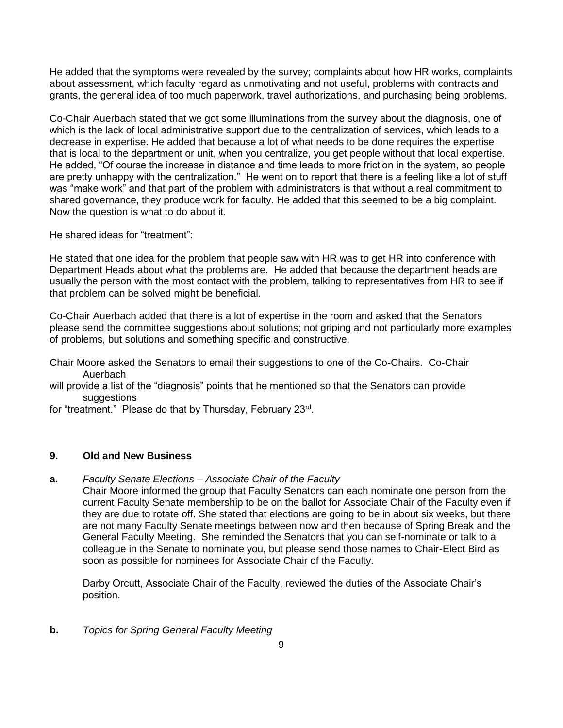He added that the symptoms were revealed by the survey; complaints about how HR works, complaints about assessment, which faculty regard as unmotivating and not useful, problems with contracts and grants, the general idea of too much paperwork, travel authorizations, and purchasing being problems.

Co-Chair Auerbach stated that we got some illuminations from the survey about the diagnosis, one of which is the lack of local administrative support due to the centralization of services, which leads to a decrease in expertise. He added that because a lot of what needs to be done requires the expertise that is local to the department or unit, when you centralize, you get people without that local expertise. He added, "Of course the increase in distance and time leads to more friction in the system, so people are pretty unhappy with the centralization." He went on to report that there is a feeling like a lot of stuff was "make work" and that part of the problem with administrators is that without a real commitment to shared governance, they produce work for faculty. He added that this seemed to be a big complaint. Now the question is what to do about it.

He shared ideas for "treatment":

He stated that one idea for the problem that people saw with HR was to get HR into conference with Department Heads about what the problems are. He added that because the department heads are usually the person with the most contact with the problem, talking to representatives from HR to see if that problem can be solved might be beneficial.

Co-Chair Auerbach added that there is a lot of expertise in the room and asked that the Senators please send the committee suggestions about solutions; not griping and not particularly more examples of problems, but solutions and something specific and constructive.

Chair Moore asked the Senators to email their suggestions to one of the Co-Chairs. Co-Chair Auerbach

will provide a list of the "diagnosis" points that he mentioned so that the Senators can provide suggestions

for "treatment." Please do that by Thursday, February 23<sup>rd</sup>.

### **9. Old and New Business**

**a.** *Faculty Senate Elections – Associate Chair of the Faculty*

Chair Moore informed the group that Faculty Senators can each nominate one person from the current Faculty Senate membership to be on the ballot for Associate Chair of the Faculty even if they are due to rotate off. She stated that elections are going to be in about six weeks, but there are not many Faculty Senate meetings between now and then because of Spring Break and the General Faculty Meeting. She reminded the Senators that you can self-nominate or talk to a colleague in the Senate to nominate you, but please send those names to Chair-Elect Bird as soon as possible for nominees for Associate Chair of the Faculty.

Darby Orcutt, Associate Chair of the Faculty, reviewed the duties of the Associate Chair's position.

**b.** *Topics for Spring General Faculty Meeting*